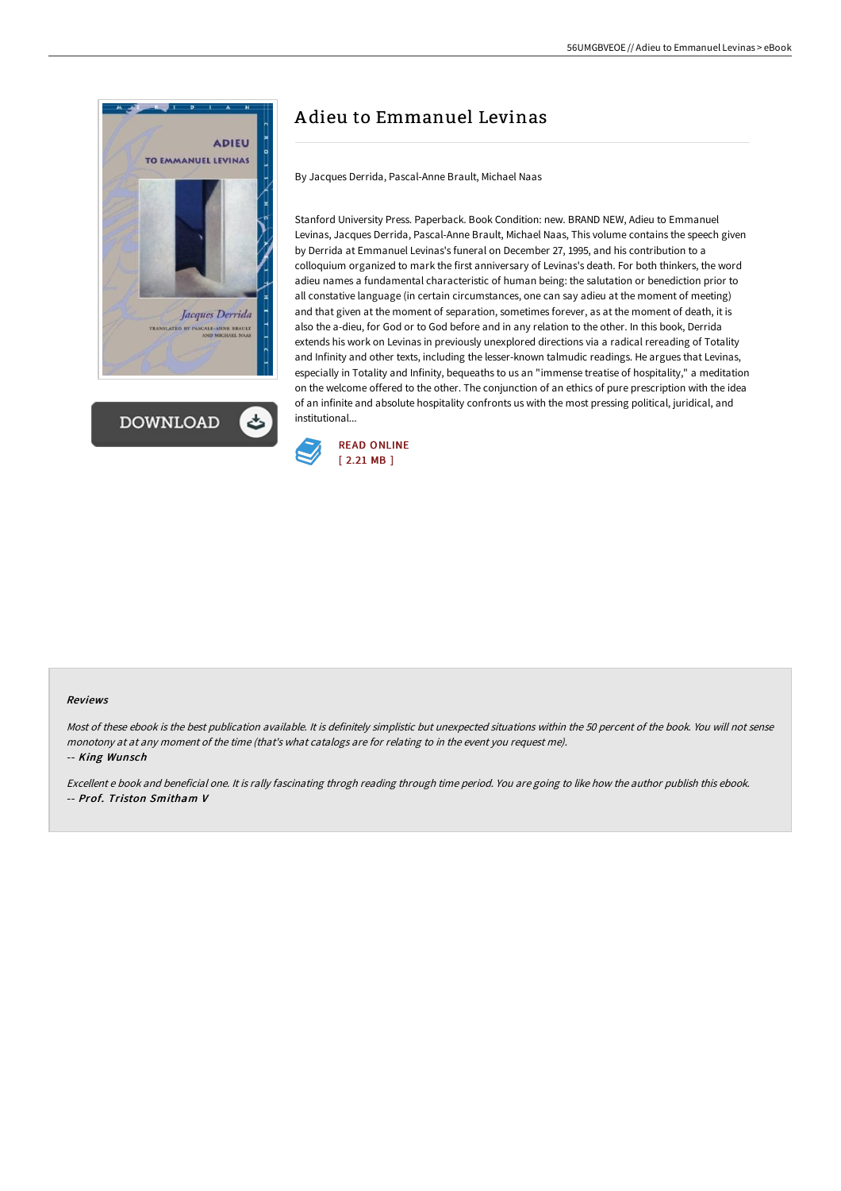



## A dieu to Emmanuel Levinas

By Jacques Derrida, Pascal-Anne Brault, Michael Naas

Stanford University Press. Paperback. Book Condition: new. BRAND NEW, Adieu to Emmanuel Levinas, Jacques Derrida, Pascal-Anne Brault, Michael Naas, This volume contains the speech given by Derrida at Emmanuel Levinas's funeral on December 27, 1995, and his contribution to a colloquium organized to mark the first anniversary of Levinas's death. For both thinkers, the word adieu names a fundamental characteristic of human being: the salutation or benediction prior to all constative language (in certain circumstances, one can say adieu at the moment of meeting) and that given at the moment of separation, sometimes forever, as at the moment of death, it is also the a-dieu, for God or to God before and in any relation to the other. In this book, Derrida extends his work on Levinas in previously unexplored directions via a radical rereading of Totality and Infinity and other texts, including the lesser-known talmudic readings. He argues that Levinas, especially in Totality and Infinity, bequeaths to us an "immense treatise of hospitality," a meditation on the welcome offered to the other. The conjunction of an ethics of pure prescription with the idea of an infinite and absolute hospitality confronts us with the most pressing political, juridical, and institutional...



## Reviews

Most of these ebook is the best publication available. It is definitely simplistic but unexpected situations within the 50 percent of the book. You will not sense monotony at at any moment of the time (that's what catalogs are for relating to in the event you request me).

-- King Wunsch

Excellent <sup>e</sup> book and beneficial one. It is rally fascinating throgh reading through time period. You are going to like how the author publish this ebook. -- Prof. Triston Smitham V